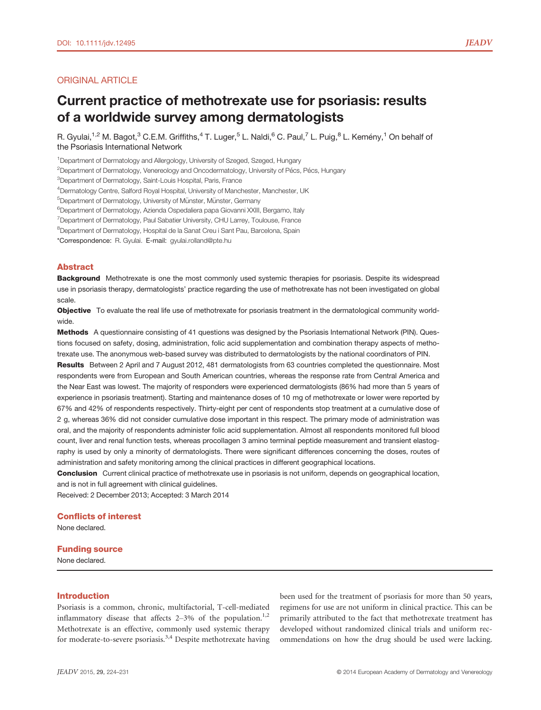## ORIGINAL ARTICLE

# Current practice of methotrexate use for psoriasis: results of a worldwide survey among dermatologists

R. Gyulai,<sup>1,2</sup> M. Bagot,<sup>3</sup> C.E.M. Griffiths,<sup>4</sup> T. Luger,<sup>5</sup> L. Naldi,<sup>6</sup> C. Paul,<sup>7</sup> L. Puig,<sup>8</sup> L. Kemény,<sup>1</sup> On behalf of the Psoriasis International Network

<sup>1</sup>Department of Dermatology and Allergology, University of Szeged, Szeged, Hungary

<sup>2</sup>Department of Dermatology, Venereology and Oncodermatology, University of Pécs, Pécs, Hungary

3 Department of Dermatology, Saint-Louis Hospital, Paris, France

<sup>4</sup>Dermatology Centre, Salford Royal Hospital, University of Manchester, Manchester, UK

<sup>5</sup>Department of Dermatology, University of Münster, Münster, Germany

6 Department of Dermatology, Azienda Ospedaliera papa Giovanni XXIII, Bergamo, Italy

<sup>7</sup>Department of Dermatology, Paul Sabatier University, CHU Larrey, Toulouse, France

<sup>8</sup>Department of Dermatology, Hospital de la Sanat Creu i Sant Pau, Barcelona, Spain

\*Correspondence: R. Gyulai. E-mail: gyulai.rolland@pte.hu

## Abstract

Background Methotrexate is one the most commonly used systemic therapies for psoriasis. Despite its widespread use in psoriasis therapy, dermatologists' practice regarding the use of methotrexate has not been investigated on global scale.

Objective To evaluate the real life use of methotrexate for psoriasis treatment in the dermatological community worldwide.

Methods A questionnaire consisting of 41 questions was designed by the Psoriasis International Network (PIN). Questions focused on safety, dosing, administration, folic acid supplementation and combination therapy aspects of methotrexate use. The anonymous web-based survey was distributed to dermatologists by the national coordinators of PIN.

Results Between 2 April and 7 August 2012, 481 dermatologists from 63 countries completed the questionnaire. Most respondents were from European and South American countries, whereas the response rate from Central America and the Near East was lowest. The majority of responders were experienced dermatologists (86% had more than 5 years of experience in psoriasis treatment). Starting and maintenance doses of 10 mg of methotrexate or lower were reported by 67% and 42% of respondents respectively. Thirty-eight per cent of respondents stop treatment at a cumulative dose of 2 g, whereas 36% did not consider cumulative dose important in this respect. The primary mode of administration was oral, and the majority of respondents administer folic acid supplementation. Almost all respondents monitored full blood count, liver and renal function tests, whereas procollagen 3 amino terminal peptide measurement and transient elastography is used by only a minority of dermatologists. There were significant differences concerning the doses, routes of administration and safety monitoring among the clinical practices in different geographical locations.

Conclusion Current clinical practice of methotrexate use in psoriasis is not uniform, depends on geographical location, and is not in full agreement with clinical guidelines.

Received: 2 December 2013; Accepted: 3 March 2014

## Conflicts of interest

None declared.

## Funding source

None declared.

## Introduction

Psoriasis is a common, chronic, multifactorial, T-cell-mediated inflammatory disease that affects  $2-3\%$  of the population.<sup>1,2</sup> Methotrexate is an effective, commonly used systemic therapy for moderate-to-severe psoriasis.<sup>3,4</sup> Despite methotrexate having been used for the treatment of psoriasis for more than 50 years, regimens for use are not uniform in clinical practice. This can be primarily attributed to the fact that methotrexate treatment has developed without randomized clinical trials and uniform recommendations on how the drug should be used were lacking.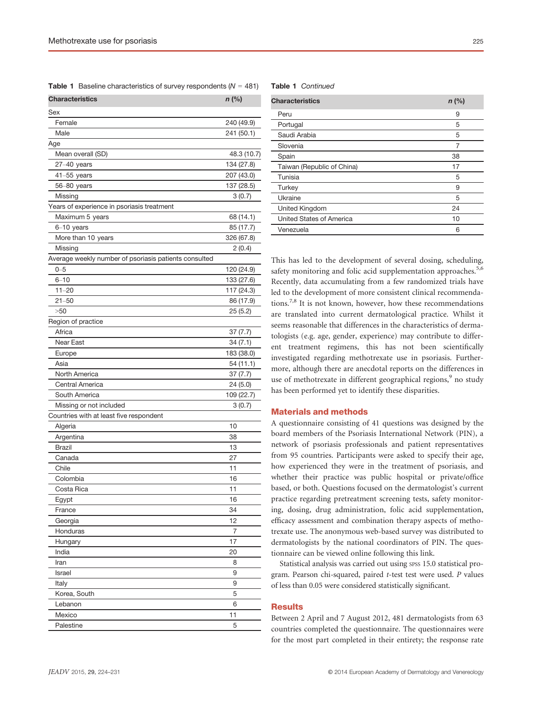**Table 1** Baseline characteristics of survey respondents  $(N = 481)$ 

| Characteristics                                       | $n$ (%)     |
|-------------------------------------------------------|-------------|
| Sex                                                   |             |
| Female                                                | 240 (49.9)  |
| Male                                                  | 241 (50.1)  |
| Age                                                   |             |
| Mean overall (SD)                                     | 48.3 (10.7) |
| $27-40$ years                                         | 134 (27.8)  |
| $41 - 55$ years                                       | 207 (43.0)  |
| 56-80 years                                           | 137 (28.5)  |
| Missing                                               | 3(0.7)      |
| Years of experience in psoriasis treatment            |             |
| Maximum 5 years                                       | 68 (14.1)   |
| $6-10$ years                                          | 85 (17.7)   |
| More than 10 years                                    | 326 (67.8)  |
| Missing                                               | 2(0.4)      |
| Average weekly number of psoriasis patients consulted |             |
| $0 - 5$                                               |             |
|                                                       | 120 (24.9)  |
| $6 - 10$                                              | 133 (27.6)  |
| $11 - 20$                                             | 117 (24.3)  |
| $21 - 50$                                             | 86 (17.9)   |
| >50                                                   | 25(5.2)     |
| Region of practice                                    |             |
| Africa                                                | 37 (7.7)    |
| Near East                                             | 34 (7.1)    |
| Europe                                                | 183 (38.0)  |
| Asia                                                  | 54 (11.1)   |
| North America                                         | 37 (7.7)    |
| Central America                                       | 24 (5.0)    |
| South America                                         | 109 (22.7)  |
| Missing or not included                               | 3(0.7)      |
| Countries with at least five respondent               |             |
| Algeria                                               | 10          |
| Argentina                                             | 38          |
| <b>Brazil</b>                                         | 13          |
| Canada                                                | 27          |
| Chile                                                 | 11          |
| Colombia                                              | 16          |
| Costa Rica                                            | 11          |
| Egypt                                                 | 16          |
| France                                                | 34          |
| Georgia                                               | 12          |
| Honduras                                              | 7           |
| Hungary                                               | 17          |
| India                                                 | 20          |
| Iran                                                  | 8           |
| Israel                                                | 9           |
| Italy                                                 | 9           |
| Korea, South                                          | 5           |
| Lebanon                                               | 6           |
| Mexico                                                | 11          |
| Palestine                                             | 5           |
|                                                       |             |

Table 1 Continued

| <b>Characteristics</b>     | $n$ (%) |
|----------------------------|---------|
| Peru                       | 9       |
| Portugal                   | 5       |
| Saudi Arabia               | 5       |
| Slovenia                   | 7       |
| Spain                      | 38      |
| Taiwan (Republic of China) | 17      |
| Tunisia                    | 5       |
| Turkey                     | 9       |
| Ukraine                    | 5       |
| United Kingdom             | 24      |
| United States of America   | 10      |
| Venezuela                  | 6       |
|                            |         |

This has led to the development of several dosing, scheduling, safety monitoring and folic acid supplementation approaches.<sup>5,6</sup> Recently, data accumulating from a few randomized trials have led to the development of more consistent clinical recommendations.<sup>7,8</sup> It is not known, however, how these recommendations are translated into current dermatological practice. Whilst it seems reasonable that differences in the characteristics of dermatologists (e.g. age, gender, experience) may contribute to different treatment regimens, this has not been scientifically investigated regarding methotrexate use in psoriasis. Furthermore, although there are anecdotal reports on the differences in use of methotrexate in different geographical regions,<sup>9</sup> no study has been performed yet to identify these disparities.

## Materials and methods

A questionnaire consisting of 41 questions was designed by the board members of the Psoriasis International Network (PIN), a network of psoriasis professionals and patient representatives from 95 countries. Participants were asked to specify their age, how experienced they were in the treatment of psoriasis, and whether their practice was public hospital or private/office based, or both. Questions focused on the dermatologist's current practice regarding pretreatment screening tests, safety monitoring, dosing, drug administration, folic acid supplementation, efficacy assessment and combination therapy aspects of methotrexate use. The anonymous web-based survey was distributed to dermatologists by the national coordinators of PIN. The questionnaire can be viewed online following this link.

Statistical analysis was carried out using spss 15.0 statistical program. Pearson chi-squared, paired t-test test were used. P values of less than 0.05 were considered statistically significant.

#### **Results**

Between 2 April and 7 August 2012, 481 dermatologists from 63 countries completed the questionnaire. The questionnaires were for the most part completed in their entirety; the response rate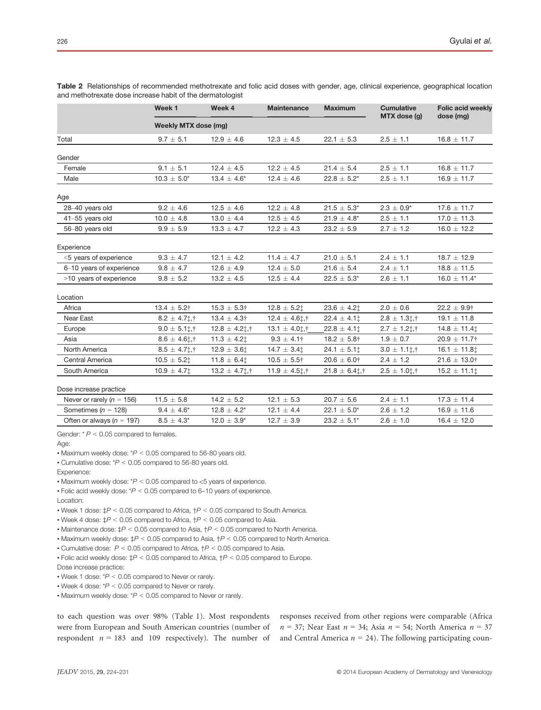|                               | Week <sub>1</sub>           | Week 4                   | <b>Maintenance</b>  | <b>Maximum</b>            | <b>Cumulative</b><br>MTX dose (g) | <b>Folic acid weekly</b><br>dose (mg) |  |
|-------------------------------|-----------------------------|--------------------------|---------------------|---------------------------|-----------------------------------|---------------------------------------|--|
|                               | <b>Weekly MTX dose (mg)</b> |                          |                     |                           |                                   |                                       |  |
| Total                         | $9.7 \pm 5.1$               | $12.9 \pm 4.6$           | $12.3 \pm 4.5$      | $22.1 \pm 5.3$            | $2.5 \pm 1.1$                     | $16.8 \pm 11.7$                       |  |
| Gender                        |                             |                          |                     |                           |                                   |                                       |  |
| Female                        | $9.1 \pm 5.1$               | $12.4 \pm 4.5$           | $12.2 \pm 4.5$      | $21.4 \pm 5.4$            | $2.5 \pm 1.1$                     | $16.8 \pm 11.7$                       |  |
| Male                          | $10.3 \pm 5.0^*$            | $13.4 \pm 4.6^*$         | $12.4 \pm 4.6$      | $22.8 \pm 5.2^*$          | $2.5 \pm 1.1$                     | $16.9 \pm 11.7$                       |  |
| Age                           |                             |                          |                     |                           |                                   |                                       |  |
| 28-40 years old               | $9.2 \pm 4.6$               | $12.5 \pm 4.6$           | $12.2 \pm 4.8$      | $21.5 \pm 5.3^*$          | $2.3 \pm 0.9^*$                   | $17.6 \pm 11.7$                       |  |
| 41-55 years old               | $10.0 \pm 4.8$              | $13.0 \pm 4.4$           | $12.5 \pm 4.5$      | $21.9 \pm 4.8^*$          | $2.5 \pm 1.1$                     | $17.0 \pm 11.3$                       |  |
| 56-80 years old               | $9.9 \pm 5.9$               | $13.3 \pm 4.7$           | $12.2 \pm 4.3$      | $23.2 \pm 5.9$            | $2.7 \pm 1.2$                     | $16.0 \pm 12.2$                       |  |
| Experience                    |                             |                          |                     |                           |                                   |                                       |  |
| <5 years of experience        | $9.3 \pm 4.7$               | $12.1 \pm 4.2$           | $11.4 \pm 4.7$      | $21.0 \pm 5.1$            | $2.4 \pm 1.1$                     | $18.7 \pm 12.9$                       |  |
| 6-10 years of experience      | $9.8 \pm 4.7$               | $12.6 \pm 4.9$           | $12.4 \pm 5.0$      | $21.6 \pm 5.4$            | $2.4 \pm 1.1$                     | $18.8 \pm 11.5$                       |  |
| >10 years of experience       | $9.8 \pm 5.2$               | $13.2 \pm 4.5$           | $12.5 \pm 4.4$      | $22.5 \pm 5.3^*$          | $2.6 \pm 1.1$                     | $16.0 \pm 11.4*$                      |  |
| Location                      |                             |                          |                     |                           |                                   |                                       |  |
| Africa                        | $13.4 \pm 5.2$ †            | $15.3 \pm 5.3^+$         | $12.8 \pm 5.2$ ‡    | $23.6 \pm 4.21$           | $2.0 \pm 0.6$                     | $22.2 \pm 9.9$ †                      |  |
| Near East                     | $8.2 \pm 4.7$ ; †           | $13.4 \pm 4.3^{\dagger}$ | $12.4 \pm 4.6$ t, † | $22.4 \pm 4.1$ $\ddagger$ | $2.8 \pm 1.3$ 1,†                 | $19.1 \pm 11.8$                       |  |
| Europe                        | $9.0 \pm 5.1$ ; †           | $12.8 \pm 4.2$ ; †       | $13.1 \pm 4.0$ ; †  | $22.8 \pm 4.1$ $\ddagger$ | $2.7 \pm 1.2$ ; †                 | $14.8 \pm 11.4$                       |  |
| Asia                          | $8.6 \pm 4.6$ t, †          | $11.3 \pm 4.21$          | $9.3 \pm 4.1$ †     | $18.2 \pm 5.8$ †          | $1.9 \pm 0.7$                     | $20.9 \pm 11.7$ †                     |  |
| North America                 | $8.5 \pm 4.7$ ; †           | $12.9 \pm 3.6$ t         | $14.7 \pm 3.4$ :    | $24.1 \pm 5.1$ $\ddagger$ | $3.0 \pm 1.1$ ; †                 | $16.1 \pm 11.8$                       |  |
| Central America               | $10.5 \pm 5.2$ ‡            | $11.8 \pm 6.4$ t         | $10.5 \pm 5.5$ †    | $20.6 \pm 6.0^+$          | $2.4 \pm 1.2$                     | $21.6 \pm 13.0$ †                     |  |
| South America                 | $10.9 \pm 4.7$ ‡            | $13.2 \pm 4.7$ ;         | $11.9 \pm 4.5$ ; †  | $21.8 \pm 6.4$ t, †       | $2.5 \pm 1.0$ ; †                 | $15.2 \pm 11.1$ $\ddagger$            |  |
| Dose increase practice        |                             |                          |                     |                           |                                   |                                       |  |
| Never or rarely ( $n = 156$ ) | $11.5 \pm 5.8$              | $14.2 \pm 5.2$           | $12.1 \pm 5.3$      | $20.7 \pm 5.6$            | $2.4 \pm 1.1$                     | $17.3 \pm 11.4$                       |  |
| Sometimes ( $n = 128$ )       | $9.4 \pm 4.6^*$             | $12.8 \pm 4.2^*$         | $12.1 \pm 4.4$      | $22.1 \pm 5.0^*$          | $2.6 \pm 1.2$                     | $16.9 \pm 11.6$                       |  |
| Often or always ( $n = 197$ ) | $8.5 \pm 4.3^*$             | $12.0 \pm 3.9^*$         | $12.7 \pm 3.9$      | $23.2 \pm 5.1^*$          | $2.6 \pm 1.0$                     | $16.4 \pm 12.0$                       |  |

Table 2 Relationships of recommended methotrexate and folic acid doses with gender, age, clinical experience, geographical location and methotrexate dose increase habit of the dermatologist

Gender:  $* P < 0.05$  compared to females.

Age:

• Maximum weekly dose:  $*P < 0.05$  compared to 56-80 years old.

• Cumulative dose: \*P < 0.05 compared to 56-80 years old.

Experience:

• Maximum weekly dose:  $*P < 0.05$  compared to <5 years of experience.

• Folic acid weekly dose:  $*P < 0.05$  compared to 6-10 years of experience.

Location:

• Week 1 dose:  $\sharp P$  < 0.05 compared to Africa,  $\sharp P$  < 0.05 compared to South America.

• Maintenance dose:  $\sharp P$  < 0.05 compared to Asia,  $\sharp P$  < 0.05 compared to North America.

• Maximum weekly dose:  $\sharp P < 0.05$  compared to Asia,  $\sharp P < 0.05$  compared to North America.

• Cumulative dose:  $P < 0.05$  compared to Africa,  $\uparrow P < 0.05$  compared to Asia.

• Folic acid weekly dose:  $\sharp P < 0.05$  compared to Africa,  $\sharp P < 0.05$  compared to Europe.

Dose increase practice:

• Week 1 dose: \*P < 0.05 compared to Never or rarely.

• Week 4 dose:  $*P < 0.05$  compared to Never or rarely.

• Maximum weekly dose:  $*P < 0.05$  compared to Never or rarely.

to each question was over 98% (Table 1). Most respondents were from European and South American countries (number of respondent  $n = 183$  and 109 respectively). The number of responses received from other regions were comparable (Africa  $n = 37$ ; Near East  $n = 34$ ; Asia  $n = 54$ ; North America  $n = 37$ and Central America  $n = 24$ ). The following participating coun-

<sup>•</sup> Week 4 dose:  $\sharp P$  < 0.05 compared to Africa,  $\sharp P$  < 0.05 compared to Asia.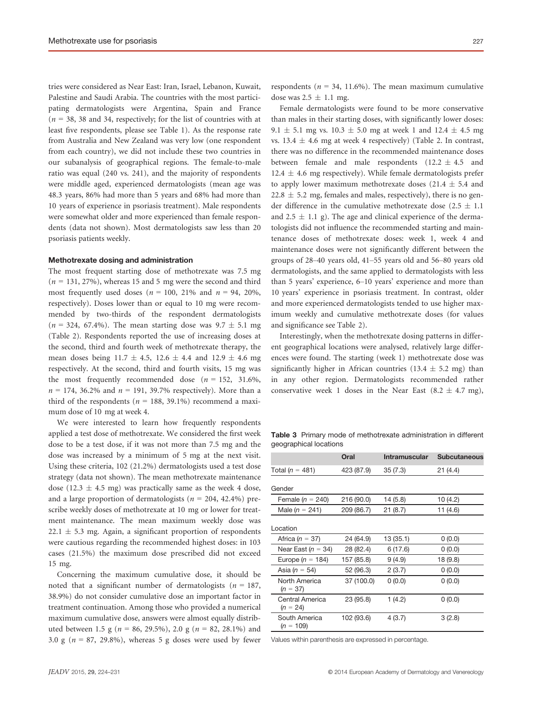tries were considered as Near East: Iran, Israel, Lebanon, Kuwait, Palestine and Saudi Arabia. The countries with the most participating dermatologists were Argentina, Spain and France  $(n = 38, 38, 4)$  and 34, respectively; for the list of countries with at least five respondents, please see Table 1). As the response rate from Australia and New Zealand was very low (one respondent from each country), we did not include these two countries in our subanalysis of geographical regions. The female-to-male ratio was equal (240 vs. 241), and the majority of respondents were middle aged, experienced dermatologists (mean age was 48.3 years, 86% had more than 5 years and 68% had more than 10 years of experience in psoriasis treatment). Male respondents were somewhat older and more experienced than female respondents (data not shown). Most dermatologists saw less than 20 psoriasis patients weekly.

#### Methotrexate dosing and administration

The most frequent starting dose of methotrexate was 7.5 mg  $(n = 131, 27\%)$ , whereas 15 and 5 mg were the second and third most frequently used doses ( $n = 100$ , 21% and  $n = 94$ , 20%, respectively). Doses lower than or equal to 10 mg were recommended by two-thirds of the respondent dermatologists  $(n = 324, 67.4\%)$ . The mean starting dose was  $9.7 \pm 5.1$  mg (Table 2). Respondents reported the use of increasing doses at the second, third and fourth week of methotrexate therapy, the mean doses being  $11.7 \pm 4.5$ ,  $12.6 \pm 4.4$  and  $12.9 \pm 4.6$  mg respectively. At the second, third and fourth visits, 15 mg was the most frequently recommended dose  $(n = 152, 31.6\%)$  $n = 174$ , 36.2% and  $n = 191$ , 39.7% respectively). More than a third of the respondents ( $n = 188, 39.1\%$ ) recommend a maximum dose of 10 mg at week 4.

We were interested to learn how frequently respondents applied a test dose of methotrexate. We considered the first week dose to be a test dose, if it was not more than 7.5 mg and the dose was increased by a minimum of 5 mg at the next visit. Using these criteria, 102 (21.2%) dermatologists used a test dose strategy (data not shown). The mean methotrexate maintenance dose (12.3  $\pm$  4.5 mg) was practically same as the week 4 dose, and a large proportion of dermatologists ( $n = 204, 42.4\%$ ) prescribe weekly doses of methotrexate at 10 mg or lower for treatment maintenance. The mean maximum weekly dose was  $22.1 \pm 5.3$  mg. Again, a significant proportion of respondents were cautious regarding the recommended highest doses: in 103 cases (21.5%) the maximum dose prescribed did not exceed 15 mg.

Concerning the maximum cumulative dose, it should be noted that a significant number of dermatologists ( $n = 187$ , 38.9%) do not consider cumulative dose an important factor in treatment continuation. Among those who provided a numerical maximum cumulative dose, answers were almost equally distributed between 1.5 g ( $n = 86, 29.5\%$ ), 2.0 g ( $n = 82, 28.1\%$ ) and 3.0 g ( $n = 87$ , 29.8%), whereas 5 g doses were used by fewer respondents ( $n = 34$ , 11.6%). The mean maximum cumulative dose was  $2.5 \pm 1.1$  mg.

Female dermatologists were found to be more conservative than males in their starting doses, with significantly lower doses: 9.1  $\pm$  5.1 mg vs. 10.3  $\pm$  5.0 mg at week 1 and 12.4  $\pm$  4.5 mg vs. 13.4  $\pm$  4.6 mg at week 4 respectively) (Table 2. In contrast, there was no difference in the recommended maintenance doses between female and male respondents  $(12.2 \pm 4.5)$  and 12.4  $\pm$  4.6 mg respectively). While female dermatologists prefer to apply lower maximum methotrexate doses (21.4  $\pm$  5.4 and  $22.8 \pm 5.2$  mg, females and males, respectively), there is no gender difference in the cumulative methotrexate dose (2.5  $\pm$  1.1 and 2.5  $\pm$  1.1 g). The age and clinical experience of the dermatologists did not influence the recommended starting and maintenance doses of methotrexate doses: week 1, week 4 and maintenance doses were not significantly different between the groups of 28–40 years old, 41–55 years old and 56–80 years old dermatologists, and the same applied to dermatologists with less than 5 years' experience, 6–10 years' experience and more than 10 years' experience in psoriasis treatment. In contrast, older and more experienced dermatologists tended to use higher maximum weekly and cumulative methotrexate doses (for values and significance see Table 2).

Interestingly, when the methotrexate dosing patterns in different geographical locations were analysed, relatively large differences were found. The starting (week 1) methotrexate dose was significantly higher in African countries (13.4  $\pm$  5.2 mg) than in any other region. Dermatologists recommended rather conservative week 1 doses in the Near East  $(8.2 \pm 4.7 \text{ mg})$ ,

Table 3 Primary mode of methotrexate administration in different geographical locations

|                               | Oral       | <b>Intramuscular</b> | <b>Subcutaneous</b> |
|-------------------------------|------------|----------------------|---------------------|
| Total ( $n = 481$ )           | 423 (87.9) | 35(7.3)              | 21(4.4)             |
| Gender                        |            |                      |                     |
| Female ( $n = 240$ )          | 216 (90.0) | 14 (5.8)             | 10 (4.2)            |
| Male ( $n = 241$ )            | 209 (86.7) | 21(8.7)              | 11 $(4.6)$          |
| Location                      |            |                      |                     |
| Africa ( $n = 37$ )           | 24 (64.9)  | 13(35.1)             | 0(0.0)              |
| Near East ( $n = 34$ )        | 28 (82.4)  | 6(17.6)              | 0(0.0)              |
| Europe ( $n = 184$ )          | 157 (85.8) | 9(4.9)               | 18 (9.8)            |
| Asia ( $n = 54$ )             | 52 (96.3)  | 2(3.7)               | 0(0.0)              |
| North America<br>$(n = 37)$   | 37 (100.0) | 0(0.0)               | 0(0.0)              |
| Central America<br>$(n = 24)$ | 23 (95.8)  | 1(4.2)               | 0(0.0)              |
| South America<br>$(n = 109)$  | 102 (93.6) | 4(3.7)               | 3(2.8)              |
|                               |            |                      |                     |

Values within parenthesis are expressed in percentage.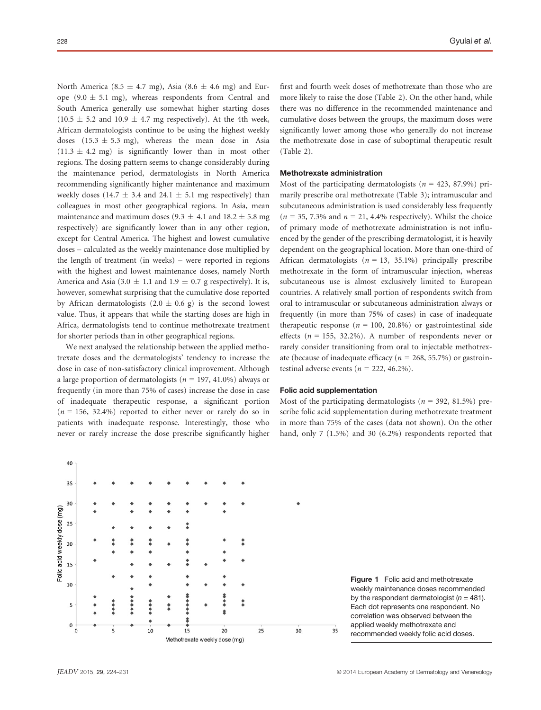North America (8.5  $\pm$  4.7 mg), Asia (8.6  $\pm$  4.6 mg) and Europe (9.0  $\pm$  5.1 mg), whereas respondents from Central and South America generally use somewhat higher starting doses  $(10.5 \pm 5.2 \text{ and } 10.9 \pm 4.7 \text{ mg respectively})$ . At the 4th week, African dermatologists continue to be using the highest weekly doses  $(15.3 \pm 5.3 \text{ mg})$ , whereas the mean dose in Asia  $(11.3 \pm 4.2 \text{ mg})$  is significantly lower than in most other regions. The dosing pattern seems to change considerably during the maintenance period, dermatologists in North America recommending significantly higher maintenance and maximum weekly doses (14.7  $\pm$  3.4 and 24.1  $\pm$  5.1 mg respectively) than colleagues in most other geographical regions. In Asia, mean maintenance and maximum doses (9.3  $\pm$  4.1 and 18.2  $\pm$  5.8 mg respectively) are significantly lower than in any other region, except for Central America. The highest and lowest cumulative doses – calculated as the weekly maintenance dose multiplied by the length of treatment (in weeks) – were reported in regions with the highest and lowest maintenance doses, namely North America and Asia (3.0  $\pm$  1.1 and 1.9  $\pm$  0.7 g respectively). It is, however, somewhat surprising that the cumulative dose reported by African dermatologists  $(2.0 \pm 0.6 \text{ g})$  is the second lowest value. Thus, it appears that while the starting doses are high in Africa, dermatologists tend to continue methotrexate treatment for shorter periods than in other geographical regions.

We next analysed the relationship between the applied methotrexate doses and the dermatologists' tendency to increase the dose in case of non-satisfactory clinical improvement. Although a large proportion of dermatologists ( $n = 197, 41.0\%$ ) always or frequently (in more than 75% of cases) increase the dose in case of inadequate therapeutic response, a significant portion  $(n = 156, 32.4\%)$  reported to either never or rarely do so in patients with inadequate response. Interestingly, those who never or rarely increase the dose prescribe significantly higher first and fourth week doses of methotrexate than those who are more likely to raise the dose (Table 2). On the other hand, while there was no difference in the recommended maintenance and cumulative doses between the groups, the maximum doses were significantly lower among those who generally do not increase the methotrexate dose in case of suboptimal therapeutic result (Table 2).

## Methotrexate administration

Most of the participating dermatologists ( $n = 423, 87.9\%$ ) primarily prescribe oral methotrexate (Table 3); intramuscular and subcutaneous administration is used considerably less frequently  $(n = 35, 7.3\%$  and  $n = 21, 4.4\%$  respectively). Whilst the choice of primary mode of methotrexate administration is not influenced by the gender of the prescribing dermatologist, it is heavily dependent on the geographical location. More than one-third of African dermatologists ( $n = 13, 35.1\%$ ) principally prescribe methotrexate in the form of intramuscular injection, whereas subcutaneous use is almost exclusively limited to European countries. A relatively small portion of respondents switch from oral to intramuscular or subcutaneous administration always or frequently (in more than 75% of cases) in case of inadequate therapeutic response ( $n = 100, 20.8\%$ ) or gastrointestinal side effects ( $n = 155$ , 32.2%). A number of respondents never or rarely consider transitioning from oral to injectable methotrexate (because of inadequate efficacy ( $n = 268, 55.7\%$ ) or gastrointestinal adverse events ( $n = 222, 46.2\%$ ).

## Folic acid supplementation

Most of the participating dermatologists ( $n = 392, 81.5\%$ ) prescribe folic acid supplementation during methotrexate treatment in more than 75% of the cases (data not shown). On the other hand, only 7 (1.5%) and 30 (6.2%) respondents reported that



Figure 1 Folic acid and methotrexate weekly maintenance doses recommended by the respondent dermatologist ( $n = 481$ ). Each dot represents one respondent. No correlation was observed between the applied weekly methotrexate and recommended weekly folic acid doses.

40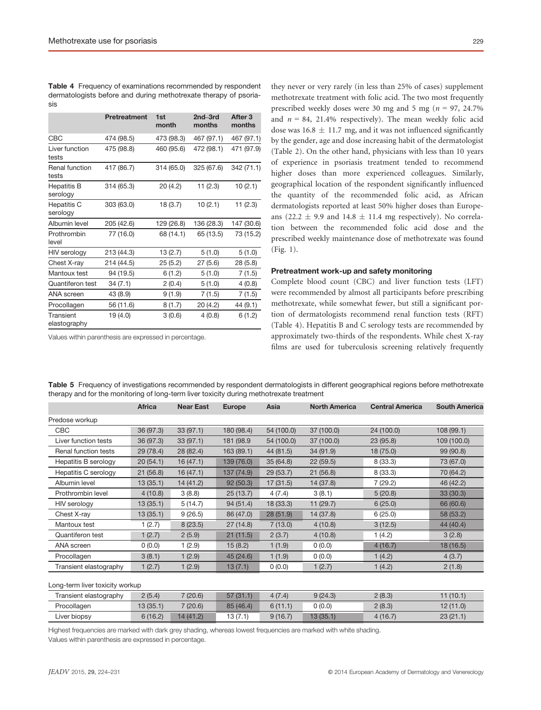| <b>Table 4</b> Frequency of examinations recommended by respondent |
|--------------------------------------------------------------------|
| dermatologists before and during methotrexate therapy of psoria-   |
| sis                                                                |

|                                | <b>Pretreatment</b> | 1st<br>month | 2nd-3rd<br>months | After <sub>3</sub><br>months |
|--------------------------------|---------------------|--------------|-------------------|------------------------------|
| CBC                            | 474 (98.5)          | 473 (98.3)   | 467 (97.1)        | 467 (97.1)                   |
| Liver function<br>tests        | 475 (98.8)          | 460 (95.6)   | 472 (98.1)        | 471 (97.9)                   |
| Renal function<br>tests        | 417 (86.7)          | 314 (65.0)   | 325 (67.6)        | 342 (71.1)                   |
| <b>Hepatitis B</b><br>serology | 314 (65.3)          | 20(4.2)      | 11(2.3)           | 10(2.1)                      |
| Hepatitis C<br>serology        | 303 (63.0)          | 18(3.7)      | 10(2.1)           | 11(2.3)                      |
| Albumin level                  | 205 (42.6)          | 129 (26.8)   | 136 (28.3)        | 147 (30.6)                   |
| Prothrombin<br>level           | 77 (16.0)           | 68 (14.1)    | 65 (13.5)         | 73 (15.2)                    |
| HIV serology                   | 213 (44.3)          | 13(2.7)      | 5(1.0)            | 5(1.0)                       |
| Chest X-ray                    | 214 (44.5)          | 25(5.2)      | 27(5.6)           | 28(5.8)                      |
| Mantoux test                   | 94 (19.5)           | 6(1.2)       | 5(1.0)            | 7(1.5)                       |
| <b>Quantiferon test</b>        | 34(7.1)             | 2(0.4)       | 5(1.0)            | 4(0.8)                       |
| <b>ANA</b> screen              | 43 (8.9)            | 9(1.9)       | 7(1.5)            | 7(1.5)                       |
| Procollagen                    | 56 (11.6)           | 8(1.7)       | 20 (4.2)          | 44 (9.1)                     |
| Transient<br>elastography      | 19 (4.0)            | 3(0.6)       | 4(0.8)            | 6(1.2)                       |

Values within parenthesis are expressed in percentage.

they never or very rarely (in less than 25% of cases) supplement methotrexate treatment with folic acid. The two most frequently prescribed weekly doses were 30 mg and 5 mg ( $n = 97, 24.7\%$ ) and  $n = 84$ , 21.4% respectively). The mean weekly folic acid dose was  $16.8 \pm 11.7$  mg, and it was not influenced significantly by the gender, age and dose increasing habit of the dermatologist (Table 2). On the other hand, physicians with less than 10 years of experience in psoriasis treatment tended to recommend higher doses than more experienced colleagues. Similarly, geographical location of the respondent significantly influenced the quantity of the recommended folic acid, as African dermatologists reported at least 50% higher doses than Europeans (22.2  $\pm$  9.9 and 14.8  $\pm$  11.4 mg respectively). No correlation between the recommended folic acid dose and the prescribed weekly maintenance dose of methotrexate was found (Fig. 1).

#### Pretreatment work-up and safety monitoring

Complete blood count (CBC) and liver function tests (LFT) were recommended by almost all participants before prescribing methotrexate, while somewhat fewer, but still a significant portion of dermatologists recommend renal function tests (RFT) (Table 4). Hepatitis B and C serology tests are recommended by approximately two-thirds of the respondents. While chest X-ray films are used for tuberculosis screening relatively frequently

|                                 | <b>Africa</b> | <b>Near East</b> | <b>Europe</b> | Asia       | <b>North America</b> | <b>Central America</b> | <b>South America</b> |
|---------------------------------|---------------|------------------|---------------|------------|----------------------|------------------------|----------------------|
| Predose workup                  |               |                  |               |            |                      |                        |                      |
| CBC                             | 36 (97.3)     | 33(97.1)         | 180 (98.4)    | 54 (100.0) | 37 (100.0)           | 24 (100.0)             | 108(99.1)            |
| Liver function tests            | 36 (97.3)     | 33 (97.1)        | 181 (98.9     | 54 (100.0) | 37 (100.0)           | 23 (95.8)              | 109 (100.0)          |
| Renal function tests            | 29 (78.4)     | 28 (82.4)        | 163 (89.1)    | 44 (81.5)  | 34 (91.9)            | 18 (75.0)              | 99 (90.8)            |
| Hepatitis B serology            | 20(54.1)      | 16(47.1)         | 139 (76.0)    | 35(64.8)   | 22(59.5)             | 8(33.3)                | 73 (67.0)            |
| Hepatitis C serology            | 21(56.8)      | 16(47.1)         | 137 (74.9)    | 29(53.7)   | 21(56.8)             | 8(33.3)                | 70 (64.2)            |
| Albumin level                   | 13(35.1)      | 14 (41.2)        | 92(50.3)      | 17(31.5)   | 14(37.8)             | 7(29.2)                | 46 (42.2)            |
| Prothrombin level               | 4(10.8)       | 3(8.8)           | 25(13.7)      | 4(7.4)     | 3(8.1)               | 5(20.8)                | 33 (30.3)            |
| HIV serology                    | 13(35.1)      | 5(14.7)          | 94(51.4)      | 18 (33.3)  | 11(29.7)             | 6(25.0)                | 66 (60.6)            |
| Chest X-ray                     | 13(35.1)      | 9(26.5)          | 86 (47.0)     | 28(51.9)   | 14 (37.8)            | 6(25.0)                | 58 (53.2)            |
| Mantoux test                    | 1(2.7)        | 8(23.5)          | 27(14.8)      | 7(13.0)    | 4(10.8)              | 3(12.5)                | 44 (40.4)            |
| Quantiferon test                | 1(2.7)        | 2(5.9)           | 21(11.5)      | 2(3.7)     | 4(10.8)              | 1(4.2)                 | 3(2.8)               |
| <b>ANA</b> screen               | (0.0)         | 1(2.9)           | 15(8.2)       | 1(1.9)     | (0.0)                | 4(16.7)                | 18 (16.5)            |
| Procollagen                     | 3(8.1)        | 1(2.9)           | 45 (24.6)     | 1(1.9)     | 0(0.0)               | 1(4.2)                 | 4(3.7)               |
| Transient elastography          | 1(2.7)        | 1(2.9)           | 13(7.1)       | 0(0.0)     | 1(2.7)               | 1(4.2)                 | 2(1.8)               |
| Long-term liver toxicity workup |               |                  |               |            |                      |                        |                      |
| Transient elastography          | 2(5.4)        | 7(20.6)          | 57(31.1)      | 4(7.4)     | 9(24.3)              | 2(8.3)                 | 11(10.1)             |
| Procollagen                     | 13(35.1)      | 7(20.6)          | 85 (46.4)     | 6(11.1)    | 0(0.0)               | 2(8.3)                 | 12(11.0)             |
| Liver biopsy                    | 6(16.2)       | 14(41.2)         | 13(7.1)       | 9(16.7)    | 13(35.1)             | 4(16.7)                | 23(21.1)             |

Table 5 Frequency of investigations recommended by respondent dermatologists in different geographical regions before methotrexate therapy and for the monitoring of long-term liver toxicity during methotrexate treatment

Highest frequencies are marked with dark grey shading, whereas lowest frequencies are marked with white shading. Values within parenthesis are expressed in percentage.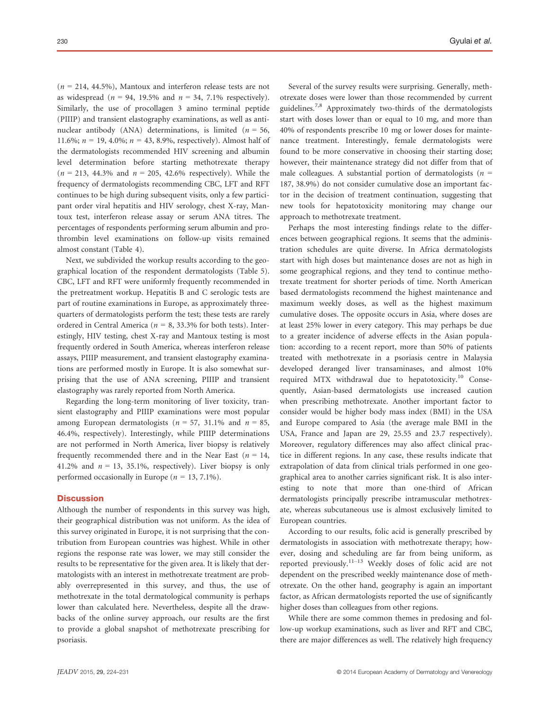$(n = 214, 44.5\%)$ , Mantoux and interferon release tests are not as widespread ( $n = 94$ , 19.5% and  $n = 34$ , 7.1% respectively). Similarly, the use of procollagen 3 amino terminal peptide (PIIIP) and transient elastography examinations, as well as antinuclear antibody (ANA) determinations, is limited ( $n = 56$ , 11.6%;  $n = 19, 4.0\%$ ;  $n = 43, 8.9\%$ , respectively). Almost half of the dermatologists recommended HIV screening and albumin level determination before starting methotrexate therapy  $(n = 213, 44.3\%$  and  $n = 205, 42.6\%$  respectively). While the frequency of dermatologists recommending CBC, LFT and RFT continues to be high during subsequent visits, only a few participant order viral hepatitis and HIV serology, chest X-ray, Mantoux test, interferon release assay or serum ANA titres. The percentages of respondents performing serum albumin and prothrombin level examinations on follow-up visits remained almost constant (Table 4).

Next, we subdivided the workup results according to the geographical location of the respondent dermatologists (Table 5). CBC, LFT and RFT were uniformly frequently recommended in the pretreatment workup. Hepatitis B and C serologic tests are part of routine examinations in Europe, as approximately threequarters of dermatologists perform the test; these tests are rarely ordered in Central America ( $n = 8$ , 33.3% for both tests). Interestingly, HIV testing, chest X-ray and Mantoux testing is most frequently ordered in South America, whereas interferon release assays, PIIIP measurement, and transient elastography examinations are performed mostly in Europe. It is also somewhat surprising that the use of ANA screening, PIIIP and transient elastography was rarely reported from North America.

Regarding the long-term monitoring of liver toxicity, transient elastography and PIIIP examinations were most popular among European dermatologists ( $n = 57$ , 31.1% and  $n = 85$ , 46.4%, respectively). Interestingly, while PIIIP determinations are not performed in North America, liver biopsy is relatively frequently recommended there and in the Near East ( $n = 14$ , 41.2% and  $n = 13$ , 35.1%, respectively). Liver biopsy is only performed occasionally in Europe ( $n = 13, 7.1\%$ ).

## **Discussion**

Although the number of respondents in this survey was high, their geographical distribution was not uniform. As the idea of this survey originated in Europe, it is not surprising that the contribution from European countries was highest. While in other regions the response rate was lower, we may still consider the results to be representative for the given area. It is likely that dermatologists with an interest in methotrexate treatment are probably overrepresented in this survey, and thus, the use of methotrexate in the total dermatological community is perhaps lower than calculated here. Nevertheless, despite all the drawbacks of the online survey approach, our results are the first to provide a global snapshot of methotrexate prescribing for psoriasis.

Several of the survey results were surprising. Generally, methotrexate doses were lower than those recommended by current guidelines.7,8 Approximately two-thirds of the dermatologists start with doses lower than or equal to 10 mg, and more than 40% of respondents prescribe 10 mg or lower doses for maintenance treatment. Interestingly, female dermatologists were found to be more conservative in choosing their starting dose; however, their maintenance strategy did not differ from that of male colleagues. A substantial portion of dermatologists ( $n =$ 187, 38.9%) do not consider cumulative dose an important factor in the decision of treatment continuation, suggesting that new tools for hepatotoxicity monitoring may change our approach to methotrexate treatment.

Perhaps the most interesting findings relate to the differences between geographical regions. It seems that the administration schedules are quite diverse. In Africa dermatologists start with high doses but maintenance doses are not as high in some geographical regions, and they tend to continue methotrexate treatment for shorter periods of time. North American based dermatologists recommend the highest maintenance and maximum weekly doses, as well as the highest maximum cumulative doses. The opposite occurs in Asia, where doses are at least 25% lower in every category. This may perhaps be due to a greater incidence of adverse effects in the Asian population: according to a recent report, more than 50% of patients treated with methotrexate in a psoriasis centre in Malaysia developed deranged liver transaminases, and almost 10% required MTX withdrawal due to hepatotoxicity.<sup>10</sup> Consequently, Asian-based dermatologists use increased caution when prescribing methotrexate. Another important factor to consider would be higher body mass index (BMI) in the USA and Europe compared to Asia (the average male BMI in the USA, France and Japan are 29, 25.55 and 23.7 respectively). Moreover, regulatory differences may also affect clinical practice in different regions. In any case, these results indicate that extrapolation of data from clinical trials performed in one geographical area to another carries significant risk. It is also interesting to note that more than one-third of African dermatologists principally prescribe intramuscular methotrexate, whereas subcutaneous use is almost exclusively limited to European countries.

According to our results, folic acid is generally prescribed by dermatologists in association with methotrexate therapy; however, dosing and scheduling are far from being uniform, as reported previously.11–<sup>13</sup> Weekly doses of folic acid are not dependent on the prescribed weekly maintenance dose of methotrexate. On the other hand, geography is again an important factor, as African dermatologists reported the use of significantly higher doses than colleagues from other regions.

While there are some common themes in predosing and follow-up workup examinations, such as liver and RFT and CBC, there are major differences as well. The relatively high frequency